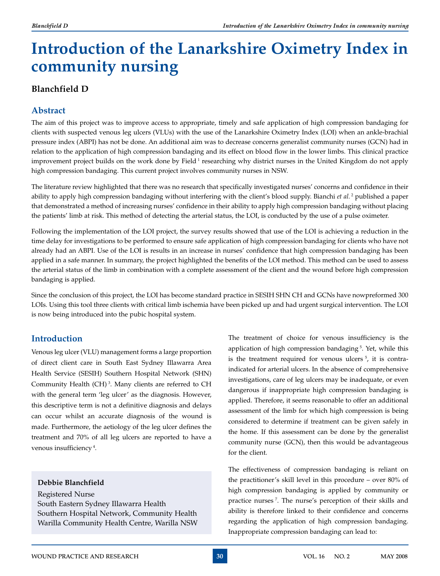# **Introduction of the Lanarkshire Oximetry Index in community nursing**

# **Blanchfield D**

# **Abstract**

The aim of this project was to improve access to appropriate, timely and safe application of high compression bandaging for clients with suspected venous leg ulcers (VLUs) with the use of the Lanarkshire Oximetry Index (LOI) when an ankle-brachial pressure index (ABPI) has not be done. An additional aim was to decrease concerns generalist community nurses (GCN) had in relation to the application of high compression bandaging and its effect on blood flow in the lower limbs. This clinical practice improvement project builds on the work done by Field 1 researching why district nurses in the United Kingdom do not apply high compression bandaging. This current project involves community nurses in NSW.

The literature review highlighted that there was no research that specifically investigated nurses' concerns and confidence in their ability to apply high compression bandaging without interfering with the client's blood supply. Bianchi *et al.* <sup>2</sup> published a paper that demonstrated a method of increasing nurses' confidence in their ability to apply high compression bandaging without placing the patients' limb at risk. This method of detecting the arterial status, the LOI, is conducted by the use of a pulse oximeter.

Following the implementation of the LOI project, the survey results showed that use of the LOI is achieving a reduction in the time delay for investigations to be performed to ensure safe application of high compression bandaging for clients who have not already had an ABPI. Use of the LOI is results in an increase in nurses' confidence that high compression bandaging has been applied in a safe manner. In summary, the project highlighted the benefits of the LOI method. This method can be used to assess the arterial status of the limb in combination with a complete assessment of the client and the wound before high compression bandaging is applied.

Since the conclusion of this project, the LOI has become standard practice in SESIH SHN CH and GCNs have nowpreformed 300 LOIs. Using this tool three clients with critical limb ischemia have been picked up and had urgent surgical intervention. The LOI is now being introduced into the pubic hospital system.

# **Introduction**

Venous leg ulcer (VLU) management forms a large proportion of direct client care in South East Sydney Illawarra Area Health Service (SESIH) Southern Hospital Network (SHN) Community Health (CH) 3. Many clients are referred to CH with the general term 'leg ulcer' as the diagnosis. However, this descriptive term is not a definitive diagnosis and delays can occur whilst an accurate diagnosis of the wound is made. Furthermore, the aetiology of the leg ulcer defines the treatment and 70% of all leg ulcers are reported to have a venous insufficiency 4.

## **Debbie Blanchfield**

Registered Nurse South Eastern Sydney Illawarra Health Southern Hospital Network, Community Health Warilla Community Health Centre, Warilla NSW

The treatment of choice for venous insufficiency is the application of high compression bandaging<sup>5</sup>. Yet, while this is the treatment required for venous ulcers  $5$ , it is contraindicated for arterial ulcers. In the absence of comprehensive investigations, care of leg ulcers may be inadequate, or even dangerous if inappropriate high compression bandaging is applied. Therefore, it seems reasonable to offer an additional assessment of the limb for which high compression is being considered to determine if treatment can be given safely in the home. If this assessment can be done by the generalist community nurse (GCN), then this would be advantageous for the client.

The effectiveness of compression bandaging is reliant on the practitioner's skill level in this procedure – over 80% of high compression bandaging is applied by community or practice nurses 7. The nurse's perception of their skills and ability is therefore linked to their confidence and concerns regarding the application of high compression bandaging. Inappropriate compression bandaging can lead to: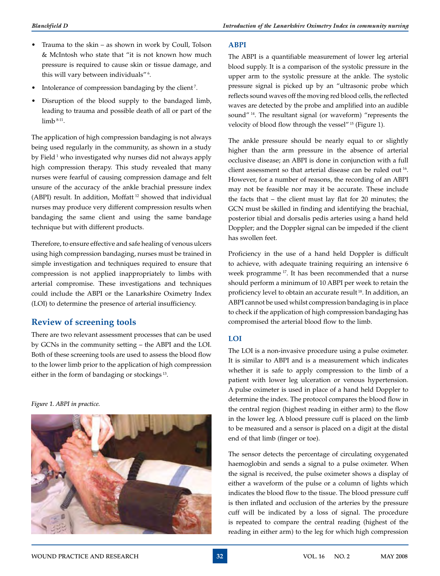- Trauma to the skin as shown in work by Coull, Tolson & McIntosh who state that "it is not known how much pressure is required to cause skin or tissue damage, and this will vary between individuals"<sup>6</sup>.
- Intolerance of compression bandaging by the client<sup>7</sup>.
- Disruption of the blood supply to the bandaged limb, leading to trauma and possible death of all or part of the limb  $8-11$ .

The application of high compression bandaging is not always being used regularly in the community, as shown in a study by Field<sup>1</sup> who investigated why nurses did not always apply high compression therapy. This study revealed that many nurses were fearful of causing compression damage and felt unsure of the accuracy of the ankle brachial pressure index (ABPI) result. In addition, Moffatt 12 showed that individual nurses may produce very different compression results when bandaging the same client and using the same bandage technique but with different products.

Therefore, to ensure effective and safe healing of venous ulcers using high compression bandaging, nurses must be trained in simple investigation and techniques required to ensure that compression is not applied inappropriately to limbs with arterial compromise. These investigations and techniques could include the ABPI or the Lanarkshire Oximetry Index (LOI) to determine the presence of arterial insufficiency.

# **Review of screening tools**

There are two relevant assessment processes that can be used by GCNs in the community setting – the ABPI and the LOI. Both of these screening tools are used to assess the blood flow to the lower limb prior to the application of high compression either in the form of bandaging or stockings 13.

*Figure 1. ABPI in practice.*



#### **ABPI**

The ABPI is a quantifiable measurement of lower leg arterial blood supply. It is a comparison of the systolic pressure in the upper arm to the systolic pressure at the ankle. The systolic pressure signal is picked up by an "ultrasonic probe which reflects sound waves off the moving red blood cells, the reflected waves are detected by the probe and amplified into an audible sound" <sup>14</sup>. The resultant signal (or waveform) "represents the velocity of blood flow through the vessel" 15 (Figure 1).

The ankle pressure should be nearly equal to or slightly higher than the arm pressure in the absence of arterial occlusive disease; an ABPI is done in conjunction with a full client assessment so that arterial disease can be ruled out 16. However, for a number of reasons, the recording of an ABPI may not be feasible nor may it be accurate. These include the facts that – the client must lay flat for 20 minutes; the GCN must be skilled in finding and identifying the brachial, posterior tibial and dorsalis pedis arteries using a hand held Doppler; and the Doppler signal can be impeded if the client has swollen feet.

Proficiency in the use of a hand held Doppler is difficult to achieve, with adequate training requiring an intensive 6 week programme 17. It has been recommended that a nurse should perform a minimum of 10 ABPI per week to retain the proficiency level to obtain an accurate result 18. In addition, an ABPI cannot be used whilst compression bandaging is in place to check if the application of high compression bandaging has compromised the arterial blood flow to the limb.

## **LOI**

The LOI is a non-invasive procedure using a pulse oximeter. It is similar to ABPI and is a measurement which indicates whether it is safe to apply compression to the limb of a patient with lower leg ulceration or venous hypertension. A pulse oximeter is used in place of a hand held Doppler to determine the index. The protocol compares the blood flow in the central region (highest reading in either arm) to the flow in the lower leg. A blood pressure cuff is placed on the limb to be measured and a sensor is placed on a digit at the distal end of that limb (finger or toe).

The sensor detects the percentage of circulating oxygenated haemoglobin and sends a signal to a pulse oximeter. When the signal is received, the pulse oximeter shows a display of either a waveform of the pulse or a column of lights which indicates the blood flow to the tissue. The blood pressure cuff is then inflated and occlusion of the arteries by the pressure cuff will be indicated by a loss of signal. The procedure is repeated to compare the central reading (highest of the reading in either arm) to the leg for which high compression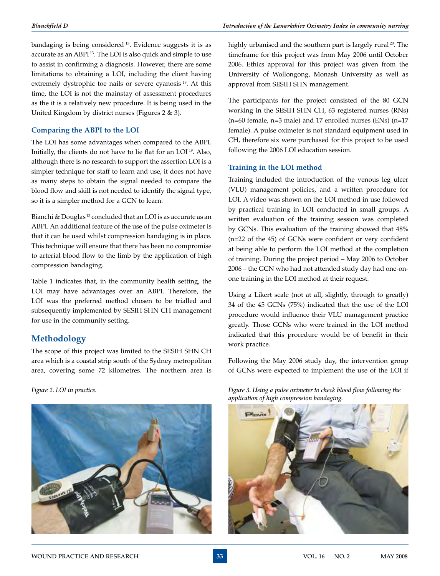bandaging is being considered 13. Evidence suggests it is as accurate as an ABPI 13. The LOI is also quick and simple to use to assist in confirming a diagnosis. However, there are some limitations to obtaining a LOI, including the client having extremely dystrophic toe nails or severe cyanosis<sup>19</sup>. At this time, the LOI is not the mainstay of assessment procedures as the it is a relatively new procedure. It is being used in the United Kingdom by district nurses (Figures 2 & 3).

#### **Comparing the ABPI to the LOI**

The LOI has some advantages when compared to the ABPI. Initially, the clients do not have to lie flat for an LOI 19. Also, although there is no research to support the assertion LOI is a simpler technique for staff to learn and use, it does not have as many steps to obtain the signal needed to compare the blood flow and skill is not needed to identify the signal type, so it is a simpler method for a GCN to learn.

Bianchi & Douglas 13 concluded that an LOI is as accurate as an ABPI. An additional feature of the use of the pulse oximeter is that it can be used whilst compression bandaging is in place. This technique will ensure that there has been no compromise to arterial blood flow to the limb by the application of high compression bandaging.

Table 1 indicates that, in the community health setting, the LOI may have advantages over an ABPI. Therefore, the LOI was the preferred method chosen to be trialled and subsequently implemented by SESIH SHN CH management for use in the community setting.

# **Methodology**

The scope of this project was limited to the SESIH SHN CH area which is a coastal strip south of the Sydney metropolitan area, covering some 72 kilometres. The northern area is

*Figure 2. LOI in practice.*



highly urbanised and the southern part is largely rural<sup>20</sup>. The timeframe for this project was from May 2006 until October 2006. Ethics approval for this project was given from the University of Wollongong, Monash University as well as approval from SESIH SHN management.

The participants for the project consisted of the 80 GCN working in the SESIH SHN CH, 63 registered nurses (RNs) (n=60 female, n=3 male) and 17 enrolled nurses (ENs) (n=17 female). A pulse oximeter is not standard equipment used in CH, therefore six were purchased for this project to be used following the 2006 LOI education session.

#### **Training in the LOI method**

Training included the introduction of the venous leg ulcer (VLU) management policies, and a written procedure for LOI. A video was shown on the LOI method in use followed by practical training in LOI conducted in small groups. A written evaluation of the training session was completed by GCNs. This evaluation of the training showed that 48% (n=22 of the 45) of GCNs were confident or very confident at being able to perform the LOI method at the completion of training. During the project period – May 2006 to October 2006 – the GCN who had not attended study day had one-onone training in the LOI method at their request.

Using a Likert scale (not at all, slightly, through to greatly) 34 of the 45 GCNs (75%) indicated that the use of the LOI procedure would influence their VLU management practice greatly. Those GCNs who were trained in the LOI method indicated that this procedure would be of benefit in their work practice.

Following the May 2006 study day, the intervention group of GCNs were expected to implement the use of the LOI if

*Figure 3. Using a pulse oximeter to check blood flow following the application of high compression bandaging.*

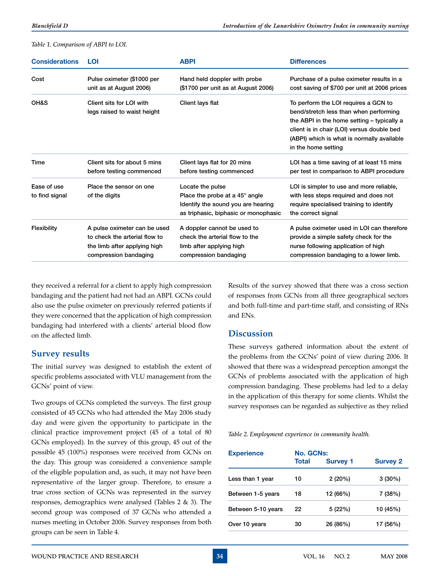*Table 1. Comparison of ABPI to LOI.*

| <b>Considerations</b>         | LOI                                                     | <b>ABPI</b>                                                                                                                                                                                                                                                                                    | <b>Differences</b>                                                                                                                                                                                                                              |
|-------------------------------|---------------------------------------------------------|------------------------------------------------------------------------------------------------------------------------------------------------------------------------------------------------------------------------------------------------------------------------------------------------|-------------------------------------------------------------------------------------------------------------------------------------------------------------------------------------------------------------------------------------------------|
| Cost                          | Pulse oximeter (\$1000 per                              | Hand held doppler with probe                                                                                                                                                                                                                                                                   | Purchase of a pulse oximeter results in a                                                                                                                                                                                                       |
|                               | unit as at August 2006)                                 | (\$1700 per unit as at August 2006)                                                                                                                                                                                                                                                            | cost saving of \$700 per unit at 2006 prices                                                                                                                                                                                                    |
| OH&S                          | Client sits for LOI with<br>legs raised to waist height | Client lays flat                                                                                                                                                                                                                                                                               | To perform the LOI requires a GCN to<br>bend/stretch less than when performing<br>the ABPI in the home setting - typically a<br>client is in chair (LOI) versus double bed<br>(ABPI) which is what is normally available<br>in the home setting |
| Time                          | Client sits for about 5 mins                            | Client lays flat for 20 mins                                                                                                                                                                                                                                                                   | LOI has a time saving of at least 15 mins                                                                                                                                                                                                       |
|                               | before testing commenced                                | before testing commenced                                                                                                                                                                                                                                                                       | per test in comparison to ABPI procedure                                                                                                                                                                                                        |
| Ease of use<br>to find signal | Place the sensor on one<br>of the digits                | Locate the pulse<br>LOI is simpler to use and more reliable,<br>Place the probe at a $45^\circ$ angle<br>with less steps required and does not<br>Identify the sound you are hearing<br>require specialised training to identify<br>as triphasic, biphasic or monophasic<br>the correct signal |                                                                                                                                                                                                                                                 |
| <b>Flexibility</b>            | A pulse oximeter can be used                            | A doppler cannot be used to                                                                                                                                                                                                                                                                    | A pulse oximeter used in LOI can therefore                                                                                                                                                                                                      |
|                               | to check the arterial flow to                           | check the arterial flow to the                                                                                                                                                                                                                                                                 | provide a simple safety check for the                                                                                                                                                                                                           |
|                               | the limb after applying high                            | limb after applying high                                                                                                                                                                                                                                                                       | nurse following application of high                                                                                                                                                                                                             |
|                               | compression bandaging                                   | compression bandaging                                                                                                                                                                                                                                                                          | compression bandaging to a lower limb.                                                                                                                                                                                                          |

they received a referral for a client to apply high compression bandaging and the patient had not had an ABPI. GCNs could also use the pulse oximeter on previously referred patients if they were concerned that the application of high compression bandaging had interfered with a clients' arterial blood flow on the affected limb.

# **Survey results**

The initial survey was designed to establish the extent of specific problems associated with VLU management from the GCNs' point of view.

Two groups of GCNs completed the surveys. The first group consisted of 45 GCNs who had attended the May 2006 study day and were given the opportunity to participate in the clinical practice improvement project (45 of a total of 80 GCNs employed). In the survey of this group, 45 out of the possible 45 (100%) responses were received from GCNs on the day. This group was considered a convenience sample of the eligible population and, as such, it may not have been representative of the larger group. Therefore, to ensure a true cross section of GCNs was represented in the survey responses, demographics were analysed (Tables 2 & 3). The second group was composed of 37 GCNs who attended a nurses meeting in October 2006. Survey responses from both groups can be seen in Table 4.

Results of the survey showed that there was a cross section of responses from GCNs from all three geographical sectors and both full-time and part-time staff, and consisting of RNs and ENs.

# **Discussion**

These surveys gathered information about the extent of the problems from the GCNs' point of view during 2006. It showed that there was a widespread perception amongst the GCNs of problems associated with the application of high compression bandaging. These problems had led to a delay in the application of this therapy for some clients. Whilst the survey responses can be regarded as subjective as they relied

*Table 2. Employment experience in community health.*

| <b>Experience</b>  | <b>No. GCNs:</b> |                 |                 |  |
|--------------------|------------------|-----------------|-----------------|--|
|                    | <b>Total</b>     | <b>Survey 1</b> | <b>Survey 2</b> |  |
| Less than 1 year   | 10               | 2(20%)          | $3(30\%)$       |  |
| Between 1-5 years  | 18               | 12 (66%)        | 7 (38%)         |  |
| Between 5-10 years | 22               | 5 (22%)         | 10 (45%)        |  |
| Over 10 years      | 30               | 26 (86%)        | 17 (56%)        |  |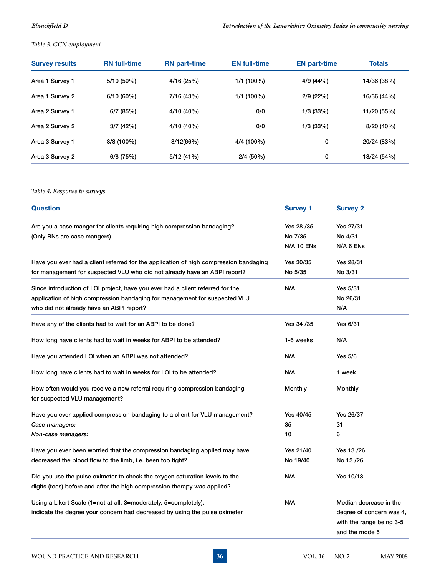## *Table 3. GCN employment.*

| <b>Survey results</b> | <b>RN</b> full-time | <b>RN</b> part-time | <b>EN full-time</b> | <b>EN part-time</b> | <b>Totals</b> |
|-----------------------|---------------------|---------------------|---------------------|---------------------|---------------|
| Area 1 Survey 1       | 5/10 (50%)          | 4/16 (25%)          | $1/1(100\%)$        | 4/9 (44%)           | 14/36 (38%)   |
| Area 1 Survey 2       | 6/10(60%)           | 7/16 (43%)          | $1/1(100\%)$        | 2/9(22%)            | 16/36 (44%)   |
| Area 2 Survey 1       | 6/7(85%)            | 4/10 (40%)          | 0/0                 | 1/3(33%)            | 11/20 (55%)   |
| Area 2 Survey 2       | 3/7(42%)            | 4/10 (40%)          | 0/0                 | 1/3(33%)            | 8/20 (40%)    |
| Area 3 Survey 1       | $8/8(100\%)$        | 8/12(66%)           | 4/4 (100%)          | 0                   | 20/24 (83%)   |
| Area 3 Survey 2       | $6/8$ (75%)         | 5/12(41%)           | $2/4(50\%)$         | 0                   | 13/24 (54%)   |

## *Table 4. Response to surveys.*

| <b>Question</b>                                                                                             | <b>Survey 1</b> | <b>Survey 2</b>          |
|-------------------------------------------------------------------------------------------------------------|-----------------|--------------------------|
| Are you a case manger for clients requiring high compression bandaging?                                     | Yes 28 /35      | Yes 27/31                |
| (Only RNs are case mangers)                                                                                 | No 7/35         | No 4/31                  |
|                                                                                                             | N/A 10 ENs      | N/A 6 ENs                |
| Have you ever had a client referred for the application of high compression bandaging                       | Yes 30/35       | Yes 28/31                |
| for management for suspected VLU who did not already have an ABPI report?                                   | No 5/35         | No 3/31                  |
| Since introduction of LOI project, have you ever had a client referred for the                              | N/A             | Yes 5/31                 |
| application of high compression bandaging for management for suspected VLU                                  |                 | No 26/31                 |
| who did not already have an ABPI report?                                                                    |                 | N/A                      |
| Have any of the clients had to wait for an ABPI to be done?                                                 | Yes 34 /35      | Yes 6/31                 |
| How long have clients had to wait in weeks for ABPI to be attended?                                         | 1-6 weeks       | N/A                      |
| Have you attended LOI when an ABPI was not attended?                                                        | N/A             | <b>Yes 5/6</b>           |
| How long have clients had to wait in weeks for LOI to be attended?                                          | N/A             | 1 week                   |
| How often would you receive a new referral requiring compression bandaging<br>for suspected VLU management? | Monthly         | Monthly                  |
| Have you ever applied compression bandaging to a client for VLU management?                                 | Yes 40/45       | Yes 26/37                |
| Case managers:                                                                                              | 35              | 31                       |
| Non-case managers:                                                                                          | 10              | 6                        |
| Have you ever been worried that the compression bandaging applied may have                                  | Yes 21/40       | Yes 13 /26               |
| decreased the blood flow to the limb, i.e. been too tight?                                                  | No 19/40        | No 13 /26                |
| Did you use the pulse oximeter to check the oxygen saturation levels to the                                 | N/A             | Yes 10/13                |
| digits (toes) before and after the high compression therapy was applied?                                    |                 |                          |
| Using a Likert Scale (1=not at all, 3=moderately, 5=completely),                                            | N/A             | Median decrease in the   |
| indicate the degree your concern had decreased by using the pulse oximeter                                  |                 | degree of concern was 4, |
|                                                                                                             |                 | with the range being 3-5 |
|                                                                                                             |                 | and the mode 5           |
|                                                                                                             |                 |                          |